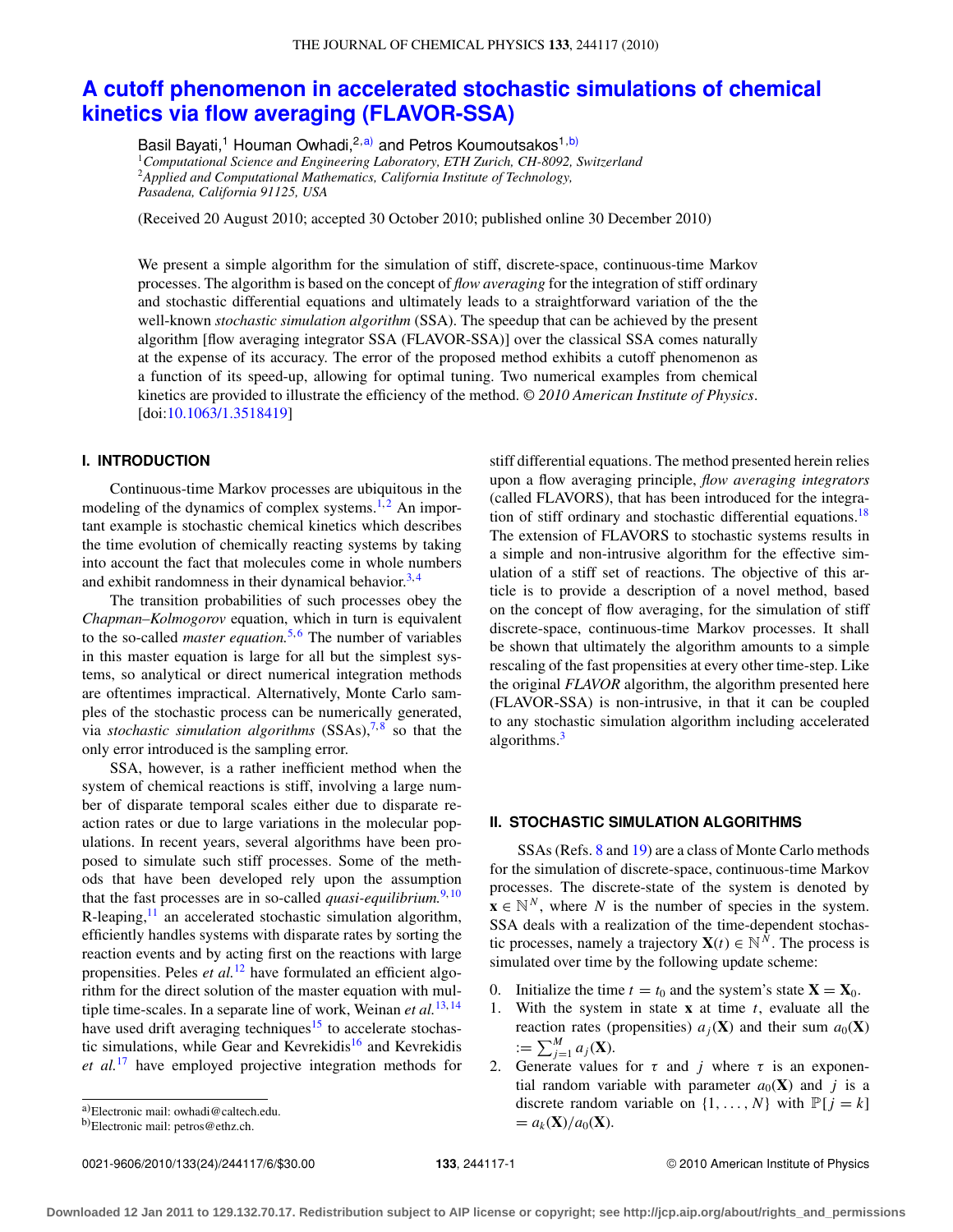# **[A cutoff phenomenon in accelerated stochastic simulations of chemical](http://dx.doi.org/10.1063/1.3518419) [kinetics via flow averaging \(FLAVOR-SSA\)](http://dx.doi.org/10.1063/1.3518419)**

Basil Bayati,<sup>1</sup> Houman Owhadi,<sup>2[,a\)](#page-0-0)</sup> and Petros Koumoutsakos<sup>1[,b\)](#page-0-1)</sup> <sup>1</sup>*Computational Science and Engineering Laboratory, ETH Zurich, CH-8092, Switzerland* <sup>2</sup>*Applied and Computational Mathematics, California Institute of Technology, Pasadena, California 91125, USA*

(Received 20 August 2010; accepted 30 October 2010; published online 30 December 2010)

We present a simple algorithm for the simulation of stiff, discrete-space, continuous-time Markov processes. The algorithm is based on the concept of *flow averaging* for the integration of stiff ordinary and stochastic differential equations and ultimately leads to a straightforward variation of the the well-known *stochastic simulation algorithm* (SSA). The speedup that can be achieved by the present algorithm [flow averaging integrator SSA (FLAVOR-SSA)] over the classical SSA comes naturally at the expense of its accuracy. The error of the proposed method exhibits a cutoff phenomenon as a function of its speed-up, allowing for optimal tuning. Two numerical examples from chemical kinetics are provided to illustrate the efficiency of the method. *© 2010 American Institute of Physics*. [doi[:10.1063/1.3518419\]](http://dx.doi.org/10.1063/1.3518419)

## **I. INTRODUCTION**

Continuous-time Markov processes are ubiquitous in the modeling of the dynamics of complex systems.<sup>[1,](#page-4-0)[2](#page-4-1)</sup> An important example is stochastic chemical kinetics which describes the time evolution of chemically reacting systems by taking into account the fact that molecules come in whole numbers and exhibit randomness in their dynamical behavior.<sup>[3,](#page-4-2)[4](#page-4-3)</sup>

The transition probabilities of such processes obey the *Chapman–Kolmogorov* equation, which in turn is equivalent to the so-called *master equation*.<sup>[5,](#page-4-4)[6](#page-4-5)</sup> The number of variables in this master equation is large for all but the simplest systems, so analytical or direct numerical integration methods are oftentimes impractical. Alternatively, Monte Carlo samples of the stochastic process can be numerically generated, via *stochastic simulation algorithms* (SSAs),<sup>7,[8](#page-5-1)</sup> so that the only error introduced is the sampling error.

SSA, however, is a rather inefficient method when the system of chemical reactions is stiff, involving a large number of disparate temporal scales either due to disparate reaction rates or due to large variations in the molecular populations. In recent years, several algorithms have been proposed to simulate such stiff processes. Some of the methods that have been developed rely upon the assumption that the fast processes are in so-called *quasi-equilibrium*.<sup>[9,](#page-5-2) [10](#page-5-3)</sup> R-leaping, $11$  an accelerated stochastic simulation algorithm, efficiently handles systems with disparate rates by sorting the reaction events and by acting first on the reactions with large propensities. Peles *et al.*[12](#page-5-5) have formulated an efficient algorithm for the direct solution of the master equation with multiple time-scales. In a separate line of work, Weinan *et al.*[13,](#page-5-6) [14](#page-5-7) have used drift averaging techniques<sup>[15](#page-5-8)</sup> to accelerate stochas-tic simulations, while Gear and Kevrekidis<sup>[16](#page-5-9)</sup> and Kevrekidis *et al.*[17](#page-5-10) have employed projective integration methods for

<span id="page-0-0"></span>a)Electronic mail: [owhadi@caltech.edu.](mailto: owhadi@caltech.edu.)

0021-9606/2010/133(24)/244117/6/\$30.00 © 2010 American Institute of Physics **133**, 244117-1

stiff differential equations. The method presented herein relies upon a flow averaging principle, *flow averaging integrators* (called FLAVORS), that has been introduced for the integration of stiff ordinary and stochastic differential equations.<sup>18</sup> The extension of FLAVORS to stochastic systems results in a simple and non-intrusive algorithm for the effective simulation of a stiff set of reactions. The objective of this article is to provide a description of a novel method, based on the concept of flow averaging, for the simulation of stiff discrete-space, continuous-time Markov processes. It shall be shown that ultimately the algorithm amounts to a simple rescaling of the fast propensities at every other time-step. Like the original *FLAVOR* algorithm, the algorithm presented here (FLAVOR-SSA) is non-intrusive, in that it can be coupled to any stochastic simulation algorithm including accelerated algorithms.<sup>[3](#page-4-2)</sup>

#### **II. STOCHASTIC SIMULATION ALGORITHMS**

SSAs (Refs. [8](#page-5-1) and [19\)](#page-5-12) are a class of Monte Carlo methods for the simulation of discrete-space, continuous-time Markov processes. The discrete-state of the system is denoted by  $\mathbf{x} \in \mathbb{N}^N$ , where *N* is the number of species in the system. SSA deals with a realization of the time-dependent stochastic processes, namely a trajectory  $X(t) \in \mathbb{N}^N$ . The process is simulated over time by the following update scheme:

- 0. Initialize the time  $t = t_0$  and the system's state  $X = X_0$ .
- 1. With the system in state **x** at time *t*, evaluate all the reaction rates (propensities)  $a_j(\mathbf{X})$  and their sum  $a_0(\mathbf{X})$  $:= \sum_{j=1}^{M} a_j(\mathbf{X}).$
- 2. Generate values for  $\tau$  and *j* where  $\tau$  is an exponential random variable with parameter  $a_0(\mathbf{X})$  and *j* is a discrete random variable on  $\{1, \ldots, N\}$  with  $\mathbb{P}[j = k]$  $= a_k(X)/a_0(X).$

<span id="page-0-1"></span>b)Electronic mail: [petros@ethz.ch.](mailto: petros@ethz.ch.)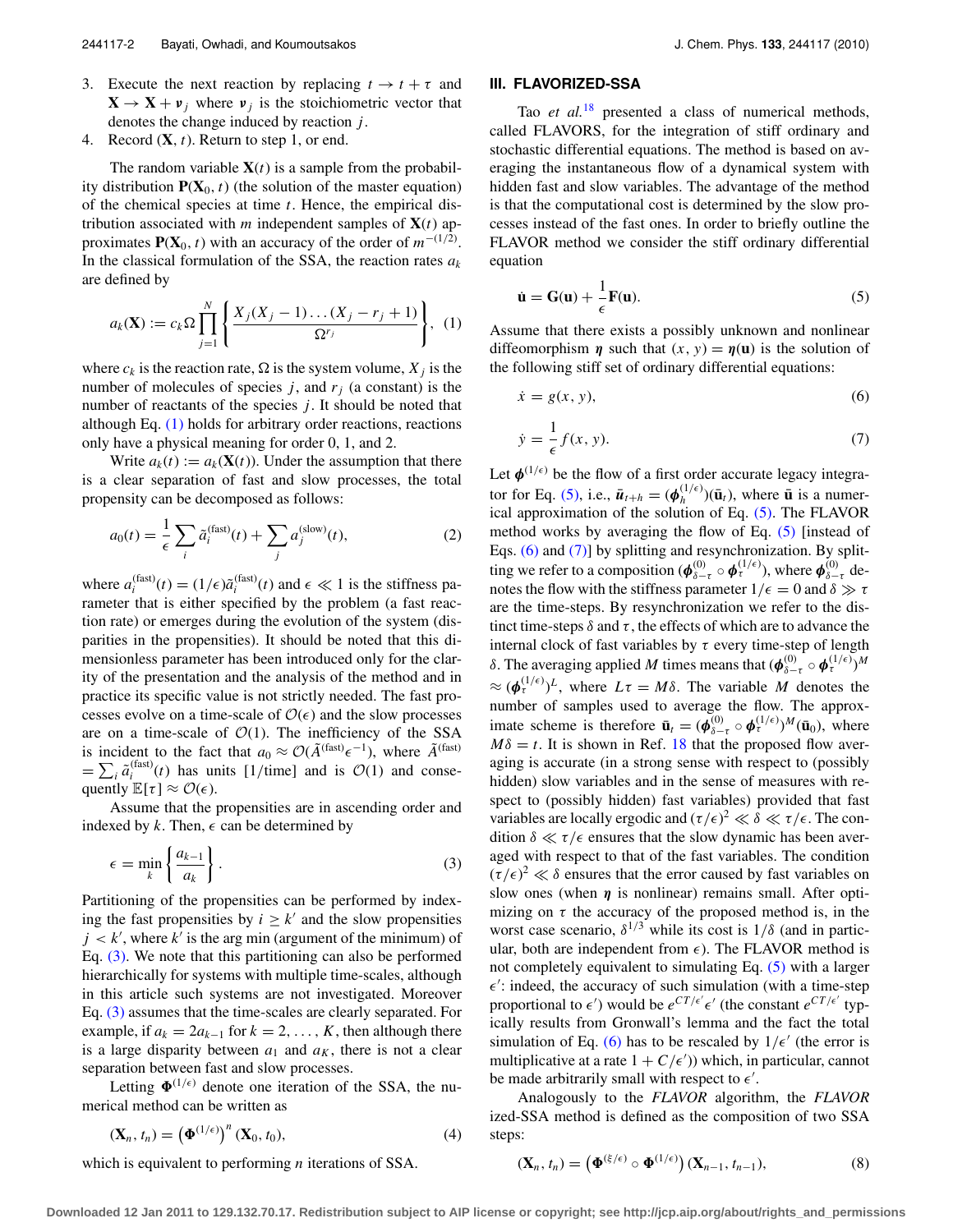- 3. Execute the next reaction by replacing  $t \to t + \tau$  and  $X \rightarrow X + \nu_i$  where  $\nu_i$  is the stoichiometric vector that denotes the change induced by reaction *j*.
- 4. Record (**X**, *t*). Return to step 1, or end.

The random variable  $X(t)$  is a sample from the probability distribution  $P(X_0, t)$  (the solution of the master equation) of the chemical species at time *t*. Hence, the empirical distribution associated with  $m$  independent samples of  $X(t)$  approximates  $P(X_0, t)$  with an accuracy of the order of  $m^{-(1/2)}$ . In the classical formulation of the SSA, the reaction rates  $a_k$ are defined by

<span id="page-1-0"></span>
$$
a_k(\mathbf{X}) := c_k \Omega \prod_{j=1}^N \left\{ \frac{X_j(X_j - 1) \dots (X_j - r_j + 1)}{\Omega^{r_j}} \right\}, (1)
$$

where  $c_k$  is the reaction rate,  $\Omega$  is the system volume,  $X_i$  is the number of molecules of species  $j$ , and  $r_j$  (a constant) is the number of reactants of the species *j*. It should be noted that although Eq. [\(1\)](#page-1-0) holds for arbitrary order reactions, reactions only have a physical meaning for order 0, 1, and 2.

Write  $a_k(t) := a_k(\mathbf{X}(t))$ . Under the assumption that there is a clear separation of fast and slow processes, the total propensity can be decomposed as follows:

$$
a_0(t) = \frac{1}{\epsilon} \sum_i \tilde{a}_i^{(\text{fast})}(t) + \sum_j a_j^{(\text{slow})}(t),\tag{2}
$$

where  $a_i^{\text{(fast)}}(t) = (1/\epsilon)\tilde{a}_i^{\text{(fast)}}(t)$  and  $\epsilon \ll 1$  is the stiffness parameter that is either specified by the problem (a fast reaction rate) or emerges during the evolution of the system (disparities in the propensities). It should be noted that this dimensionless parameter has been introduced only for the clarity of the presentation and the analysis of the method and in practice its specific value is not strictly needed. The fast processes evolve on a time-scale of  $\mathcal{O}(\epsilon)$  and the slow processes are on a time-scale of  $O(1)$ . The inefficiency of the SSA is incident to the fact that  $a_0 \approx \mathcal{O}(\tilde{A}^{(\text{fast})} \epsilon^{-1})$ , where  $\tilde{A}^{(\text{fast})}$  $= \sum_i \tilde{a}_i^{(\text{fast})}(t)$  has units [1/time] and is  $\mathcal{O}(1)$  and consequently  $\mathbb{E}[\tau] \approx \mathcal{O}(\epsilon)$ .

Assume that the propensities are in ascending order and indexed by  $k$ . Then,  $\epsilon$  can be determined by

<span id="page-1-1"></span>
$$
\epsilon = \min_{k} \left\{ \frac{a_{k-1}}{a_k} \right\}.
$$
 (3)

Partitioning of the propensities can be performed by indexing the fast propensities by  $i > k'$  and the slow propensities  $j < k'$ , where  $k'$  is the arg min (argument of the minimum) of Eq. [\(3\).](#page-1-1) We note that this partitioning can also be performed hierarchically for systems with multiple time-scales, although in this article such systems are not investigated. Moreover Eq. [\(3\)](#page-1-1) assumes that the time-scales are clearly separated. For example, if  $a_k = 2a_{k-1}$  for  $k = 2, ..., K$ , then although there is a large disparity between  $a_1$  and  $a_K$ , there is not a clear separation between fast and slow processes.

Letting  $\Phi^{(1/\epsilon)}$  denote one iteration of the SSA, the numerical method can be written as

$$
\left(\mathbf{X}_n, t_n\right) = \left(\mathbf{\Phi}^{(1/\epsilon)}\right)^n \left(\mathbf{X}_0, t_0\right),\tag{4}
$$

which is equivalent to performing *n* iterations of SSA.

# **III. FLAVORIZED-SSA**

Tao *et al.*[18](#page-5-11) presented a class of numerical methods, called FLAVORS, for the integration of stiff ordinary and stochastic differential equations. The method is based on averaging the instantaneous flow of a dynamical system with hidden fast and slow variables. The advantage of the method is that the computational cost is determined by the slow processes instead of the fast ones. In order to briefly outline the FLAVOR method we consider the stiff ordinary differential equation

<span id="page-1-2"></span>
$$
\dot{\mathbf{u}} = \mathbf{G}(\mathbf{u}) + \frac{1}{\epsilon} \mathbf{F}(\mathbf{u}).
$$
\n(5)

Assume that there exists a possibly unknown and nonlinear diffeomorphism *η* such that  $(x, y) = \eta(\mathbf{u})$  is the solution of the following stiff set of ordinary differential equations:

<span id="page-1-3"></span>
$$
\dot{x} = g(x, y),\tag{6}
$$

<span id="page-1-4"></span>
$$
\dot{y} = \frac{1}{\epsilon} f(x, y). \tag{7}
$$

Let  $\phi^{(1/\epsilon)}$  be the flow of a first order accurate legacy integra-tor for Eq. [\(5\),](#page-1-2) i.e.,  $\bar{u}_{t+h} = (\phi_h^{(1/\epsilon)})(\bar{u}_t)$ , where  $\bar{u}$  is a numerical approximation of the solution of Eq. [\(5\).](#page-1-2) The FLAVOR method works by averaging the flow of Eq. [\(5\)](#page-1-2) [instead of Eqs. [\(6\)](#page-1-3) and [\(7\)\]](#page-1-4) by splitting and resynchronization. By splitting we refer to a composition ( $\pmb{\phi}_{\delta-\tau}^{(0)}\circ \pmb{\phi}_{\tau}^{(1/\epsilon)}$ ), where  $\pmb{\phi}_{\delta-\tau}^{(0)}$  denotes the flow with the stiffness parameter  $1/\epsilon = 0$  and  $\delta \gg \tau$ are the time-steps. By resynchronization we refer to the distinct time-steps  $\delta$  and  $\tau$ , the effects of which are to advance the internal clock of fast variables by  $\tau$  every time-step of length δ. The averaging applied *M* times means that  $(\phi_{\delta-\tau}^{(0)} \circ \phi_{\tau}^{(1/\epsilon)})^M$  $\approx (\phi_\tau^{(1/\epsilon)})^L$ , where  $L\tau = M\delta$ . The variable *M* denotes the number of samples used to average the flow. The approximate scheme is therefore  $\bar{\mathbf{u}}_t = (\phi_{\delta-\tau}^{(0)} \circ \phi_{\tau}^{(1/\epsilon)})^M(\bar{\mathbf{u}}_0)$ , where  $M\delta = t$ . It is shown in Ref. [18](#page-5-11) that the proposed flow averaging is accurate (in a strong sense with respect to (possibly hidden) slow variables and in the sense of measures with respect to (possibly hidden) fast variables) provided that fast variables are locally ergodic and  $(\tau/\epsilon)^2 \ll \delta \ll \tau/\epsilon$ . The condition  $\delta \ll \tau/\epsilon$  ensures that the slow dynamic has been averaged with respect to that of the fast variables. The condition  $(\tau/\epsilon)^2 \ll \delta$  ensures that the error caused by fast variables on slow ones (when *η* is nonlinear) remains small. After optimizing on  $\tau$  the accuracy of the proposed method is, in the worst case scenario,  $\delta^{1/3}$  while its cost is  $1/\delta$  (and in particular, both are independent from  $\epsilon$ ). The FLAVOR method is not completely equivalent to simulating Eq. [\(5\)](#page-1-2) with a larger  $\epsilon'$ : indeed, the accuracy of such simulation (with a time-step proportional to  $\epsilon'$ ) would be  $e^{CT/\epsilon'}\epsilon'$  (the constant  $e^{CT/\epsilon'}$  typically results from Gronwall's lemma and the fact the total simulation of Eq. [\(6\)](#page-1-3) has to be rescaled by  $1/\epsilon'$  (the error is multiplicative at a rate  $1 + C/\epsilon'$ ) which, in particular, cannot be made arbitrarily small with respect to  $\epsilon'$ .

Analogously to the *FLAVOR* algorithm, the *FLAVOR* ized-SSA method is defined as the composition of two SSA steps:

$$
(\mathbf{X}_n, t_n) = \left(\mathbf{\Phi}^{(\xi/\epsilon)} \circ \mathbf{\Phi}^{(1/\epsilon)}\right) (\mathbf{X}_{n-1}, t_{n-1}),\tag{8}
$$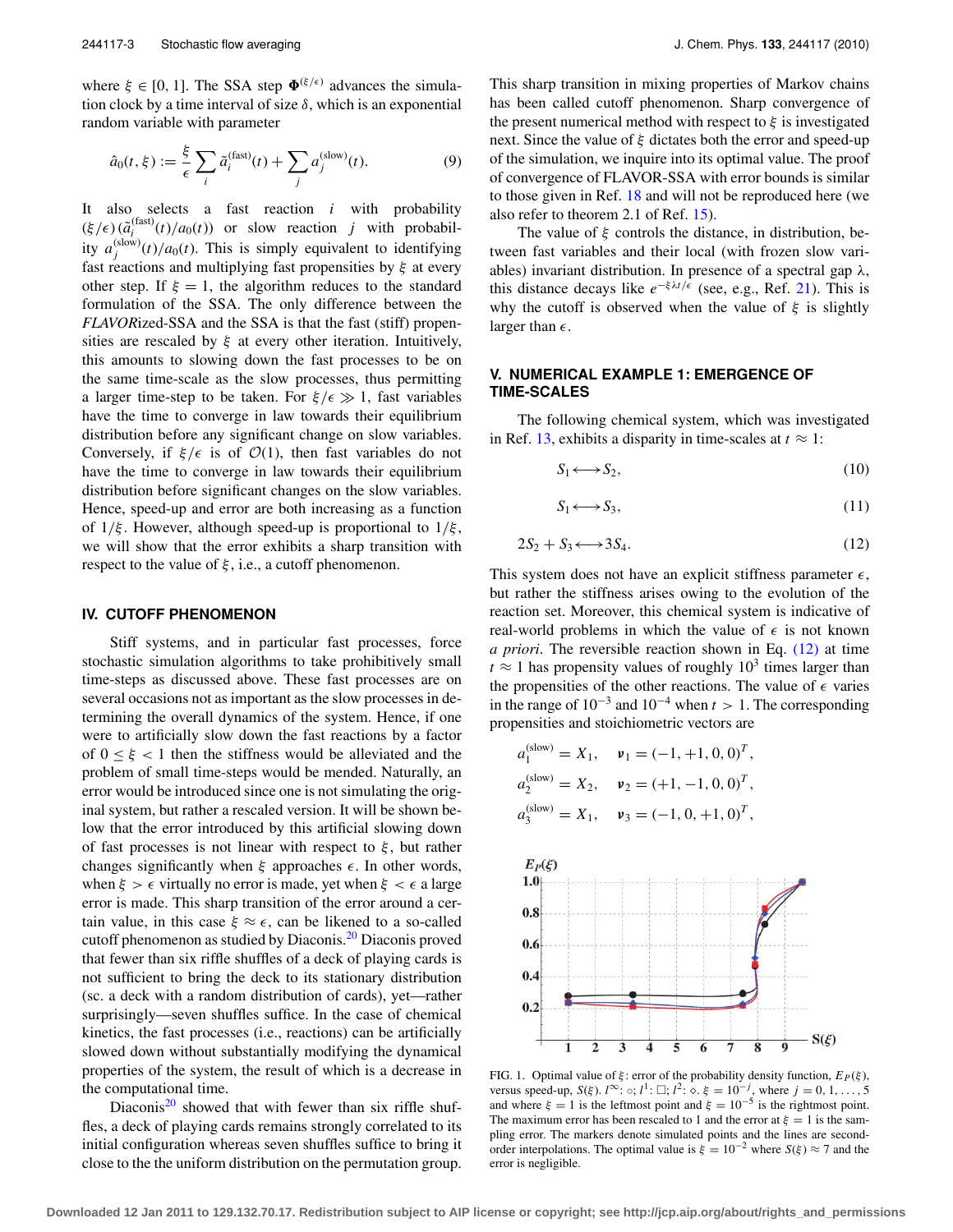where  $\xi \in [0, 1]$ . The SSA step  $\Phi^{(\xi/\epsilon)}$  advances the simulation clock by a time interval of size  $\delta$ , which is an exponential random variable with parameter

$$
\hat{a}_0(t,\xi) := \frac{\xi}{\epsilon} \sum_i \tilde{a}_i^{\text{(fast)}}(t) + \sum_j a_j^{\text{(slow)}}(t). \tag{9}
$$

It also selects a fast reaction *i* with probability  $(\xi/\epsilon)$   $(\tilde{a}_i^{\text{(fast)}}(t)/a_0(t))$  or slow reaction *j* with probability  $a_j^{(\text{slow})}(t)/a_0(t)$ . This is simply equivalent to identifying fast reactions and multiplying fast propensities by  $\xi$  at every other step. If  $\xi = 1$ , the algorithm reduces to the standard formulation of the SSA. The only difference between the *FLAVOR*ized-SSA and the SSA is that the fast (stiff) propensities are rescaled by  $\xi$  at every other iteration. Intuitively, this amounts to slowing down the fast processes to be on the same time-scale as the slow processes, thus permitting a larger time-step to be taken. For  $\xi/\epsilon \gg 1$ , fast variables have the time to converge in law towards their equilibrium distribution before any significant change on slow variables. Conversely, if  $\xi/\epsilon$  is of  $\mathcal{O}(1)$ , then fast variables do not have the time to converge in law towards their equilibrium distribution before significant changes on the slow variables. Hence, speed-up and error are both increasing as a function of  $1/\xi$ . However, although speed-up is proportional to  $1/\xi$ , we will show that the error exhibits a sharp transition with respect to the value of  $\xi$ , i.e., a cutoff phenomenon.

#### **IV. CUTOFF PHENOMENON**

Stiff systems, and in particular fast processes, force stochastic simulation algorithms to take prohibitively small time-steps as discussed above. These fast processes are on several occasions not as important as the slow processes in determining the overall dynamics of the system. Hence, if one were to artificially slow down the fast reactions by a factor of  $0 \leq \xi < 1$  then the stiffness would be alleviated and the problem of small time-steps would be mended. Naturally, an error would be introduced since one is not simulating the original system, but rather a rescaled version. It will be shown below that the error introduced by this artificial slowing down of fast processes is not linear with respect to  $\xi$ , but rather changes significantly when  $\xi$  approaches  $\epsilon$ . In other words, when  $\xi > \epsilon$  virtually no error is made, yet when  $\xi < \epsilon$  a large error is made. This sharp transition of the error around a certain value, in this case  $\xi \approx \epsilon$ , can be likened to a so-called cutoff phenomenon as studied by Diaconis[.20](#page-5-13) Diaconis proved that fewer than six riffle shuffles of a deck of playing cards is not sufficient to bring the deck to its stationary distribution (sc. a deck with a random distribution of cards), yet—rather surprisingly—seven shuffles suffice. In the case of chemical kinetics, the fast processes (i.e., reactions) can be artificially slowed down without substantially modifying the dynamical properties of the system, the result of which is a decrease in the computational time.

Diaconis<sup>[20](#page-5-13)</sup> showed that with fewer than six riffle shuffles, a deck of playing cards remains strongly correlated to its initial configuration whereas seven shuffles suffice to bring it close to the the uniform distribution on the permutation group. This sharp transition in mixing properties of Markov chains has been called cutoff phenomenon. Sharp convergence of the present numerical method with respect to  $\xi$  is investigated next. Since the value of  $\xi$  dictates both the error and speed-up of the simulation, we inquire into its optimal value. The proof of convergence of FLAVOR-SSA with error bounds is similar to those given in Ref. [18](#page-5-11) and will not be reproduced here (we also refer to theorem 2.1 of Ref. [15\)](#page-5-8).

The value of  $\xi$  controls the distance, in distribution, between fast variables and their local (with frozen slow variables) invariant distribution. In presence of a spectral gap  $\lambda$ , this distance decays like  $e^{-\xi \lambda t/\epsilon}$  (see, e.g., Ref. [21\)](#page-5-14). This is why the cutoff is observed when the value of  $\xi$  is slightly larger than  $\epsilon$ .

## **V. NUMERICAL EXAMPLE 1: EMERGENCE OF TIME-SCALES**

The following chemical system, which was investigated in Ref. [13,](#page-5-6) exhibits a disparity in time-scales at  $t \approx 1$ :

$$
S_1 \longleftrightarrow S_2, \tag{10}
$$

$$
S_1 \longleftrightarrow S_3,\tag{11}
$$

$$
2S_2 + S_3 \longleftrightarrow 3S_4. \tag{12}
$$

<span id="page-2-0"></span>This system does not have an explicit stiffness parameter  $\epsilon$ , but rather the stiffness arises owing to the evolution of the reaction set. Moreover, this chemical system is indicative of real-world problems in which the value of  $\epsilon$  is not known *a priori*. The reversible reaction shown in Eq. [\(12\)](#page-2-0) at time  $t \approx 1$  has propensity values of roughly  $10^3$  times larger than the propensities of the other reactions. The value of  $\epsilon$  varies in the range of  $10^{-3}$  and  $10^{-4}$  when  $t > 1$ . The corresponding propensities and stoichiometric vectors are

$$
a_1^{(\text{slow})} = X_1, \quad \mathbf{v}_1 = (-1, +1, 0, 0)^T,
$$
  
\n
$$
a_2^{(\text{slow})} = X_2, \quad \mathbf{v}_2 = (+1, -1, 0, 0)^T,
$$
  
\n
$$
a_3^{(\text{slow})} = X_1, \quad \mathbf{v}_3 = (-1, 0, +1, 0)^T,
$$

<span id="page-2-1"></span>

FIG. 1. Optimal value of  $\xi$ : error of the probability density function,  $E_P(\xi)$ , versus speed-up,  $S(\xi)$ .  $l^{\infty}$ :  $\circ$ ;  $l^1$ :  $\Box$ ;  $l^2$ :  $\circ$ .  $\xi = 10^{-j}$ , where  $j = 0, 1, ..., 5$ and where  $\xi = 1$  is the leftmost point and  $\xi = 10^{-5}$  is the rightmost point. The maximum error has been rescaled to 1 and the error at  $\xi = 1$  is the sampling error. The markers denote simulated points and the lines are secondorder interpolations. The optimal value is  $\xi = 10^{-2}$  where  $S(\xi) \approx 7$  and the error is negligible.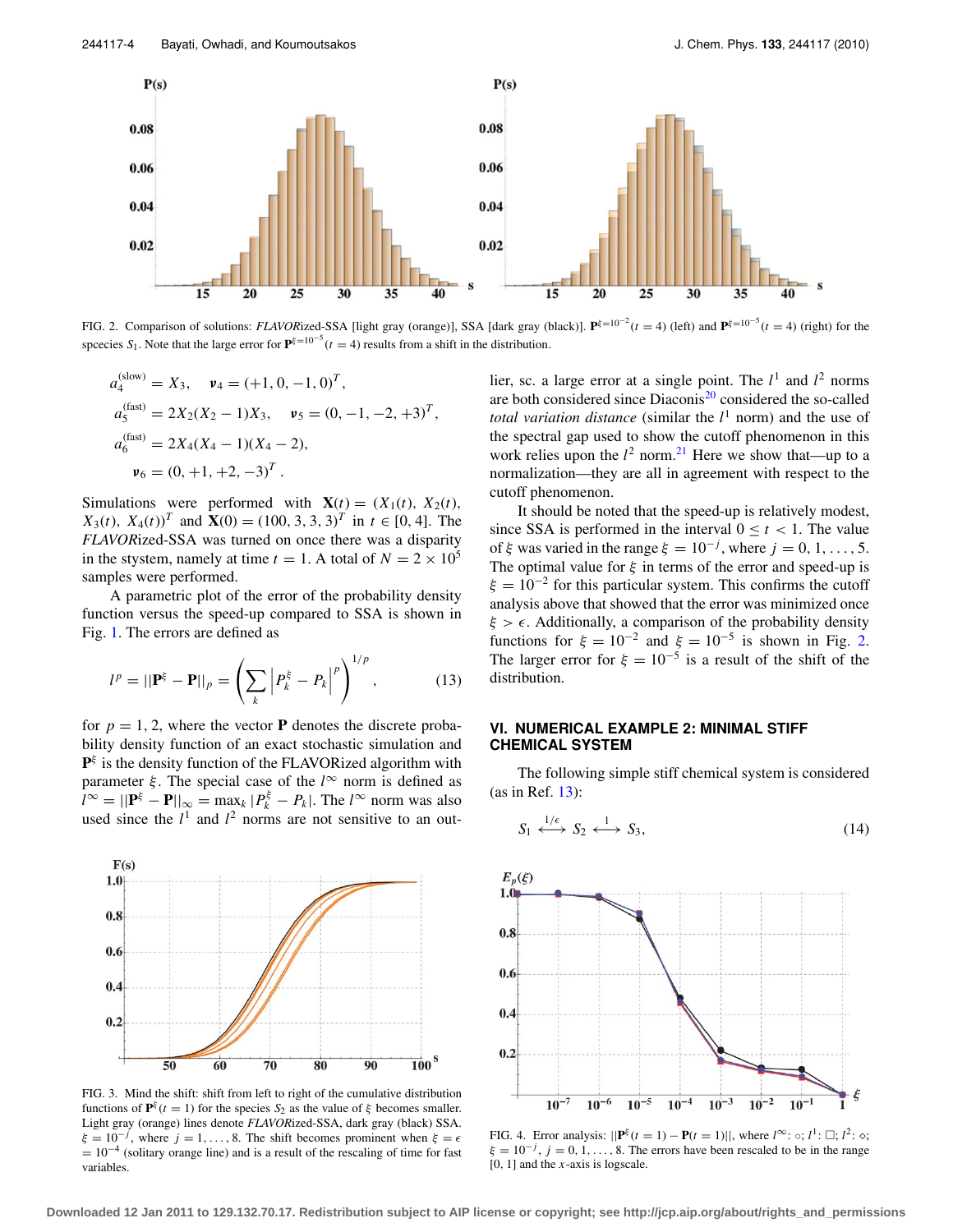<span id="page-3-0"></span>

FIG. 2. Comparison of solutions: *FLAVORized-SSA* [light gray (orange)], SSA [dark gray (black)].  $\mathbf{P}^{\xi=10^{-2}}(t=4)$  (left) and  $\mathbf{P}^{\xi=10^{-5}}(t=4)$  (right) for the spcecies  $S_1$ . Note that the large error for  $\mathbf{P}^{g=10^{-5}}(t=4)$  results from a shift in the distribution.

$$
a_4^{\text{(slow)}} = X_3, \quad \mathbf{v}_4 = (+1, 0, -1, 0)^T,
$$
  
\n
$$
a_5^{\text{(fast)}} = 2X_2(X_2 - 1)X_3, \quad \mathbf{v}_5 = (0, -1, -2, +3)^T,
$$
  
\n
$$
a_6^{\text{(fast)}} = 2X_4(X_4 - 1)(X_4 - 2),
$$
  
\n
$$
\mathbf{v}_6 = (0, +1, +2, -3)^T.
$$

Simulations were performed with  $\mathbf{X}(t) = (X_1(t), X_2(t))$ , *X*<sub>3</sub>(*t*), *X*<sub>4</sub>(*t*))<sup>*T*</sup> and **X**(0) = (100, 3, 3, 3)<sup>*T*</sup> in *t*  $\in$  [0, 4]. The *FLAVOR*ized-SSA was turned on once there was a disparity in the stystem, namely at time  $t = 1$ . A total of  $N = 2 \times 10^5$ samples were performed.

A parametric plot of the error of the probability density function versus the speed-up compared to SSA is shown in Fig. [1.](#page-2-1) The errors are defined as

$$
l^{p} = ||\mathbf{P}^{\xi} - \mathbf{P}||_{p} = \left(\sum_{k} \left| P_{k}^{\xi} - P_{k} \right|^{p} \right)^{1/p}, \tag{13}
$$

for  $p = 1, 2$ , where the vector **P** denotes the discrete probability density function of an exact stochastic simulation and  $\mathbf{P}^{\xi}$  is the density function of the FLAVORized algorithm with parameter  $\xi$ . The special case of the  $l^{\infty}$  norm is defined as  $\hat{l}^{\infty} = ||\mathbf{P}^{\xi} - \mathbf{P}||_{\infty} = \max_{k} |P^{\xi}_{k} - P_{k}|$ . The  $l^{\infty}$  norm was also used since the  $l^1$  and  $l^2$  norms are not sensitive to an out-

<span id="page-3-1"></span>

FIG. 3. Mind the shift: shift from left to right of the cumulative distribution functions of  $\mathbf{P}^{\xi}(t=1)$  for the species  $S_2$  as the value of  $\xi$  becomes smaller. Light gray (orange) lines denote *FLAVOR*ized-SSA, dark gray (black) SSA.  $\xi = 10^{-j}$ , where  $j = 1, ..., 8$ . The shift becomes prominent when  $\xi = \epsilon$  $= 10^{-4}$  (solitary orange line) and is a result of the rescaling of time for fast variables.

lier, sc. a large error at a single point. The  $l^1$  and  $l^2$  norms are both considered since  $Diaconis<sup>20</sup>$  $Diaconis<sup>20</sup>$  $Diaconis<sup>20</sup>$  considered the so-called *total variation distance* (similar the *l* <sup>1</sup> norm) and the use of the spectral gap used to show the cutoff phenomenon in this work relies upon the  $l^2$  norm.<sup>[21](#page-5-14)</sup> Here we show that—up to a normalization—they are all in agreement with respect to the cutoff phenomenon.

It should be noted that the speed-up is relatively modest, since SSA is performed in the interval  $0 \le t \le 1$ . The value of  $\xi$  was varied in the range  $\xi = 10^{-j}$ , where  $j = 0, 1, ..., 5$ . The optimal value for  $\xi$  in terms of the error and speed-up is  $\xi = 10^{-2}$  for this particular system. This confirms the cutoff analysis above that showed that the error was minimized once  $\xi > \epsilon$ . Additionally, a comparison of the probability density functions for  $\xi = 10^{-2}$  and  $\xi = 10^{-5}$  is shown in Fig. [2.](#page-3-0) The larger error for  $\xi = 10^{-5}$  is a result of the shift of the distribution.

## **VI. NUMERICAL EXAMPLE 2: MINIMAL STIFF CHEMICAL SYSTEM**

The following simple stiff chemical system is considered (as in Ref. [13\)](#page-5-6):

$$
S_1 \xleftrightarrow{1/\epsilon} S_2 \xleftrightarrow{1} S_3,\tag{14}
$$

<span id="page-3-2"></span>

FIG. 4. Error analysis:  $||\mathbf{P}^{\xi}(t=1) - \mathbf{P}(t=1)||$ , where  $l^{\infty}$ :  $\circ$ ;  $l^{1}$ :  $\square$ ;  $l^{2}$ :  $\circ$ ;  $\xi = 10^{-j}$ ,  $j = 0, 1, ..., 8$ . The errors have been rescaled to be in the range [0, 1] and the *x*-axis is logscale.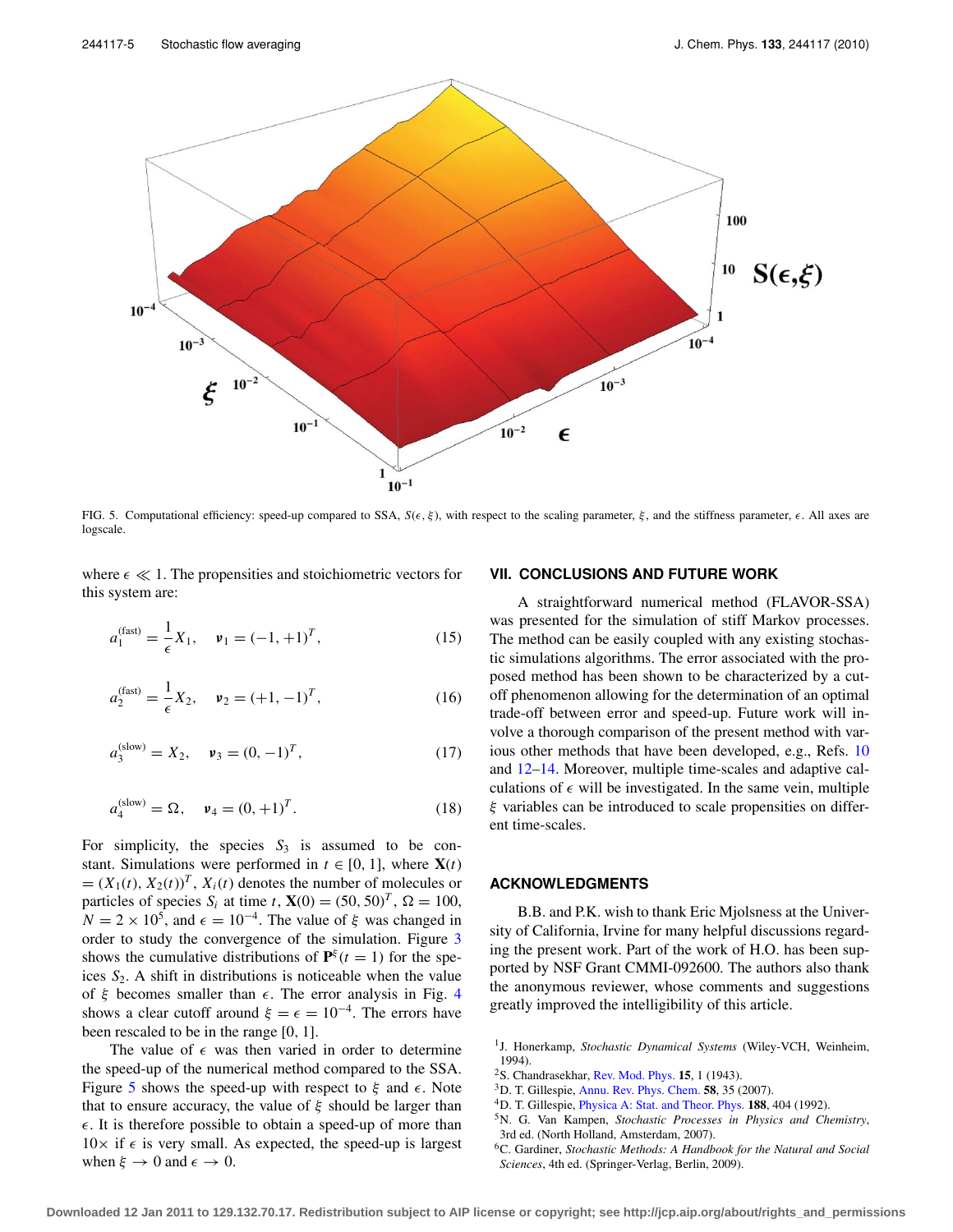<span id="page-4-6"></span>

FIG. 5. Computational efficiency: speed-up compared to SSA,  $S(\epsilon, \xi)$ , with respect to the scaling parameter,  $\xi$ , and the stiffness parameter,  $\epsilon$ . All axes are logscale.

where  $\epsilon \ll 1$ . The propensities and stoichiometric vectors for this system are:

$$
a_1^{\text{(fast)}} = \frac{1}{\epsilon} X_1, \quad \mathbf{v}_1 = (-1, +1)^T, \tag{15}
$$

$$
a_2^{\text{(fast)}} = \frac{1}{\epsilon} X_2, \quad \mathbf{v}_2 = (+1, -1)^T, \tag{16}
$$

$$
a_3^{(\text{slow})} = X_2, \quad \mathbf{v}_3 = (0, -1)^T, \tag{17}
$$

$$
a_4^{(\text{slow})} = \Omega, \quad \mathbf{v}_4 = (0, +1)^T. \tag{18}
$$

For simplicity, the species  $S_3$  is assumed to be constant. Simulations were performed in  $t \in [0, 1]$ , where  $X(t)$  $=(X_1(t), X_2(t))^T$ ,  $X_i(t)$  denotes the number of molecules or particles of species  $S_i$  at time *t*,  $\mathbf{X}(0) = (50, 50)^T$ ,  $\Omega = 100$ ,  $N = 2 \times 10^5$ , and  $\epsilon = 10^{-4}$ . The value of  $\xi$  was changed in order to study the convergence of the simulation. Figure [3](#page-3-1) shows the cumulative distributions of  $\mathbf{P}^{\xi}(t=1)$  for the speices  $S_2$ . A shift in distributions is noticeable when the value of  $\xi$  becomes smaller than  $\epsilon$ . The error analysis in Fig. [4](#page-3-2) shows a clear cutoff around  $\xi = \epsilon = 10^{-4}$ . The errors have been rescaled to be in the range [0, 1].

The value of  $\epsilon$  was then varied in order to determine the speed-up of the numerical method compared to the SSA. Figure [5](#page-4-6) shows the speed-up with respect to  $\xi$  and  $\epsilon$ . Note that to ensure accuracy, the value of  $\xi$  should be larger than  $\epsilon$ . It is therefore possible to obtain a speed-up of more than  $10\times$  if  $\epsilon$  is very small. As expected, the speed-up is largest when  $\xi \to 0$  and  $\epsilon \to 0$ .

#### **VII. CONCLUSIONS AND FUTURE WORK**

A straightforward numerical method (FLAVOR-SSA) was presented for the simulation of stiff Markov processes. The method can be easily coupled with any existing stochastic simulations algorithms. The error associated with the proposed method has been shown to be characterized by a cutoff phenomenon allowing for the determination of an optimal trade-off between error and speed-up. Future work will involve a thorough comparison of the present method with various other methods that have been developed, e.g., Refs. [10](#page-5-3) and [12](#page-5-5)[–14.](#page-5-7) Moreover, multiple time-scales and adaptive calculations of  $\epsilon$  will be investigated. In the same vein, multiple ξ variables can be introduced to scale propensities on different time-scales.

#### **ACKNOWLEDGMENTS**

B.B. and P.K. wish to thank Eric Mjolsness at the University of California, Irvine for many helpful discussions regarding the present work. Part of the work of H.O. has been supported by NSF Grant CMMI-092600. The authors also thank the anonymous reviewer, whose comments and suggestions greatly improved the intelligibility of this article.

- <span id="page-4-0"></span><sup>1</sup>J. Honerkamp, *Stochastic Dynamical Systems* (Wiley-VCH, Weinheim, 1994).
- <span id="page-4-2"></span><span id="page-4-1"></span>2S. Chandrasekhar, [Rev. Mod. Phys.](http://dx.doi.org/10.1103/RevModPhys.15.1) **15**, 1 (1943).
- <span id="page-4-3"></span>3D. T. Gillespie, [Annu. Rev. Phys. Chem.](http://dx.doi.org/10.1146/annurev.physchem.58.032806.104637) **58**, 35 (2007).
- <span id="page-4-4"></span>4D. T. Gillespie, [Physica A: Stat. and Theor. Phys.](http://dx.doi.org/10.1016/0378-4371(92)90283-V) **188**, 404 (1992).
- 5N. G. Van Kampen, *Stochastic Processes in Physics and Chemistry*, 3rd ed. (North Holland, Amsterdam, 2007).
- <span id="page-4-5"></span>6C. Gardiner, *Stochastic Methods: A Handbook for the Natural and Social Sciences*, 4th ed. (Springer-Verlag, Berlin, 2009).